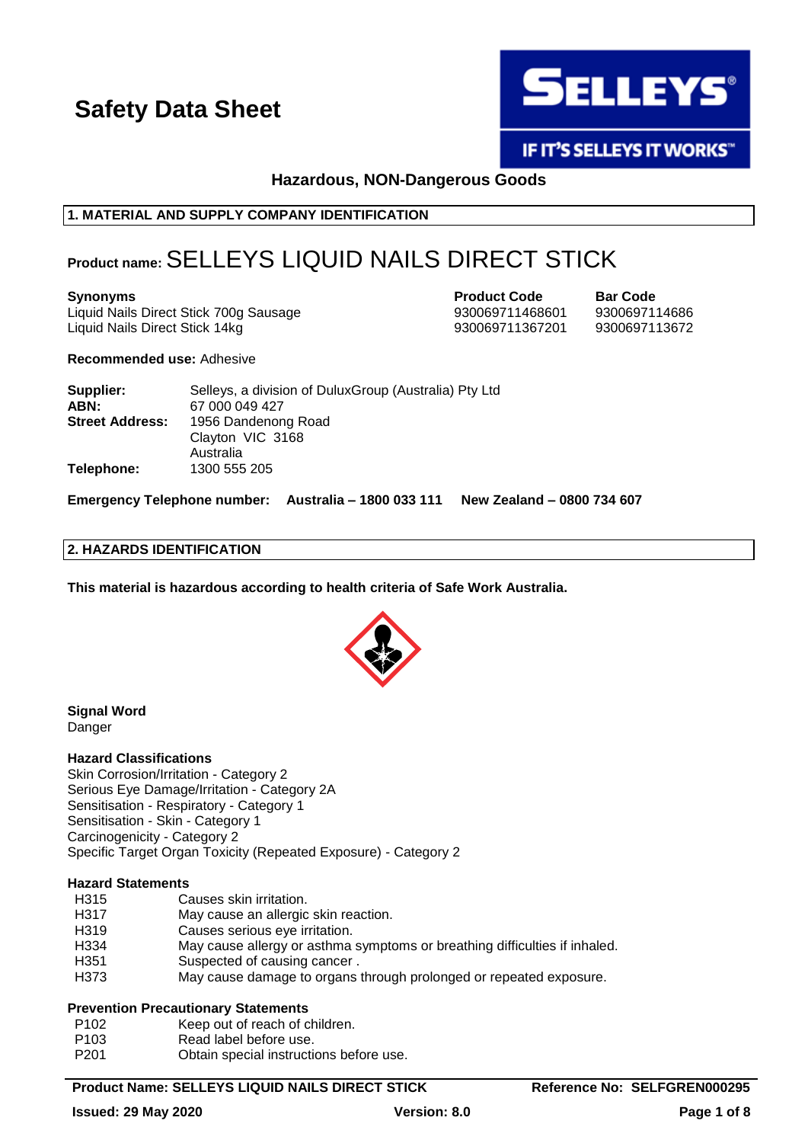

**IF IT'S SELLEYS IT WORKS"** 

**Hazardous, NON-Dangerous Goods**

### **1. MATERIAL AND SUPPLY COMPANY IDENTIFICATION**

# **Product name:**SELLEYS LIQUID NAILS DIRECT STICK

Liquid Nails Direct Stick 700g Sausage 930069711468601 9300697114686 Liquid Nails Direct Stick 14kg 930069711367201 9300697113672

**Synonyms Product Code Bar Code**

#### **Recommended use:** Adhesive

| Supplier:              | Selleys, a division of DuluxGroup (Australia) Pty Ltd |
|------------------------|-------------------------------------------------------|
| ABN:                   | 67 000 049 427                                        |
| <b>Street Address:</b> | 1956 Dandenong Road                                   |
|                        | Clayton VIC 3168                                      |
|                        | Australia                                             |
| Telephone:             | 1300 555 205                                          |

**Emergency Telephone number: Australia – 1800 033 111 New Zealand – 0800 734 607**

#### **2. HAZARDS IDENTIFICATION**

**This material is hazardous according to health criteria of Safe Work Australia.**



#### **Signal Word** Danger

#### **Hazard Classifications**

Skin Corrosion/Irritation - Category 2 Serious Eye Damage/Irritation - Category 2A Sensitisation - Respiratory - Category 1 Sensitisation - Skin - Category 1 Carcinogenicity - Category 2 Specific Target Organ Toxicity (Repeated Exposure) - Category 2

#### **Hazard Statements**

- H315 Causes skin irritation.
- H317 May cause an allergic skin reaction.
- H319 Causes serious eye irritation.
- H334 May cause allergy or asthma symptoms or breathing difficulties if inhaled.
- H351 Suspected of causing cancer.
- H373 May cause damage to organs through prolonged or repeated exposure.

#### **Prevention Precautionary Statements**

- P102 Keep out of reach of children.
- P103 Read label before use.
- P201 Obtain special instructions before use.

#### **Product Name: SELLEYS LIQUID NAILS DIRECT STICK Reference No: SELFGREN000295**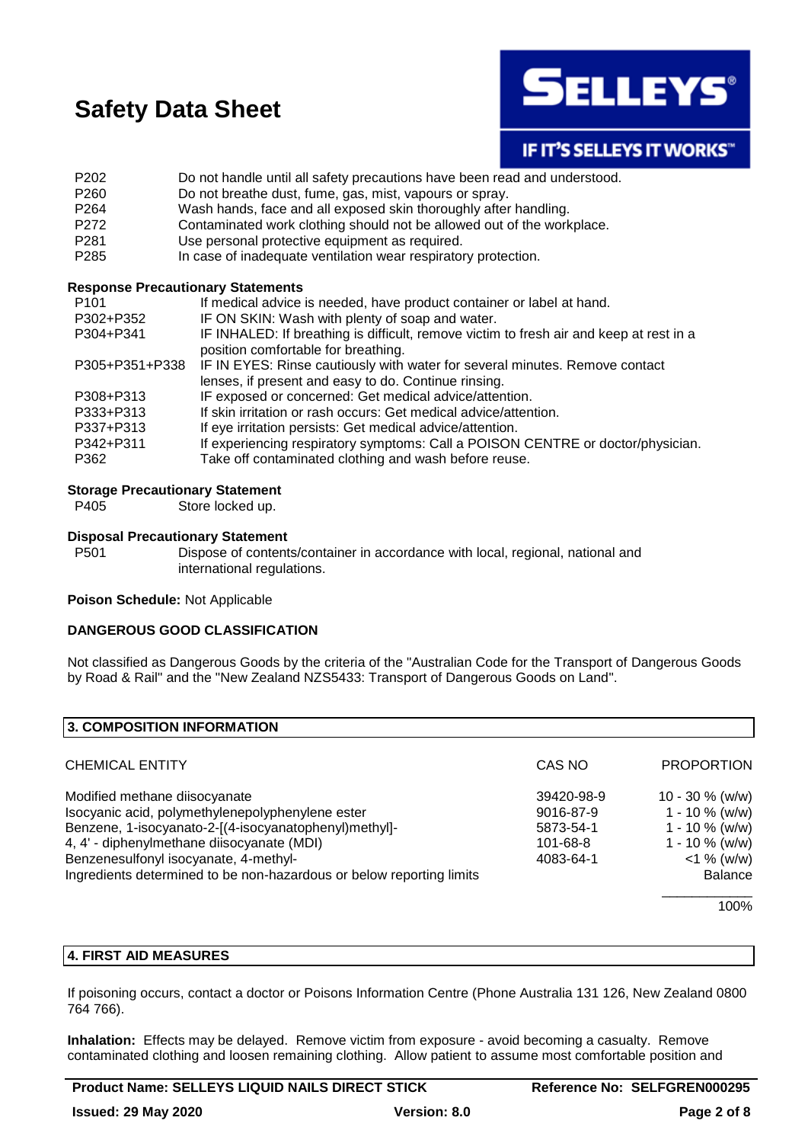

### **IF IT'S SELLEYS IT WORKS"**

- P202 Do not handle until all safety precautions have been read and understood.
- P260 Do not breathe dust, fume, gas, mist, vapours or spray.
- P264 Wash hands, face and all exposed skin thoroughly after handling.
- P272 Contaminated work clothing should not be allowed out of the workplace.
- P281 Use personal protective equipment as required.
- P285 In case of inadequate ventilation wear respiratory protection.

#### **Response Precautionary Statements**

| P <sub>101</sub> | If medical advice is needed, have product container or label at hand.                   |
|------------------|-----------------------------------------------------------------------------------------|
| P302+P352        | IF ON SKIN: Wash with plenty of soap and water.                                         |
| P304+P341        | IF INHALED: If breathing is difficult, remove victim to fresh air and keep at rest in a |
|                  | position comfortable for breathing.                                                     |
| P305+P351+P338   | IF IN EYES: Rinse cautiously with water for several minutes. Remove contact             |
|                  | lenses, if present and easy to do. Continue rinsing.                                    |
| P308+P313        | IF exposed or concerned: Get medical advice/attention.                                  |
| P333+P313        | If skin irritation or rash occurs: Get medical advice/attention.                        |
| P337+P313        | If eye irritation persists: Get medical advice/attention.                               |
| P342+P311        | If experiencing respiratory symptoms: Call a POISON CENTRE or doctor/physician.         |
| P362             | Take off contaminated clothing and wash before reuse.                                   |

#### **Storage Precautionary Statement**

P405 Store locked up.

#### **Disposal Precautionary Statement**

P501 Dispose of contents/container in accordance with local, regional, national and international regulations.

**Poison Schedule:** Not Applicable

#### **DANGEROUS GOOD CLASSIFICATION**

Not classified as Dangerous Goods by the criteria of the "Australian Code for the Transport of Dangerous Goods by Road & Rail" and the "New Zealand NZS5433: Transport of Dangerous Goods on Land".

| <b>3. COMPOSITION INFORMATION</b>                                    |            |                   |
|----------------------------------------------------------------------|------------|-------------------|
| <b>CHEMICAL ENTITY</b>                                               | CAS NO     | <b>PROPORTION</b> |
| Modified methane diisocyanate                                        | 39420-98-9 | 10 - 30 $%$ (w/w) |
| Isocyanic acid, polymethylenepolyphenylene ester                     | 9016-87-9  | $1 - 10 \%$ (w/w) |
| Benzene, 1-isocyanato-2-[(4-isocyanatophenyl)methyl]-                | 5873-54-1  | $1 - 10 \%$ (w/w) |
| 4, 4' - diphenylmethane diisocyanate (MDI)                           | 101-68-8   | $1 - 10 \%$ (w/w) |
| Benzenesulfonyl isocyanate, 4-methyl-                                | 4083-64-1  | $<$ 1 % (w/w)     |
| Ingredients determined to be non-hazardous or below reporting limits |            | <b>Balance</b>    |
|                                                                      |            | 100%              |

#### **4. FIRST AID MEASURES**

If poisoning occurs, contact a doctor or Poisons Information Centre (Phone Australia 131 126, New Zealand 0800 764 766).

**Inhalation:** Effects may be delayed. Remove victim from exposure - avoid becoming a casualty. Remove contaminated clothing and loosen remaining clothing. Allow patient to assume most comfortable position and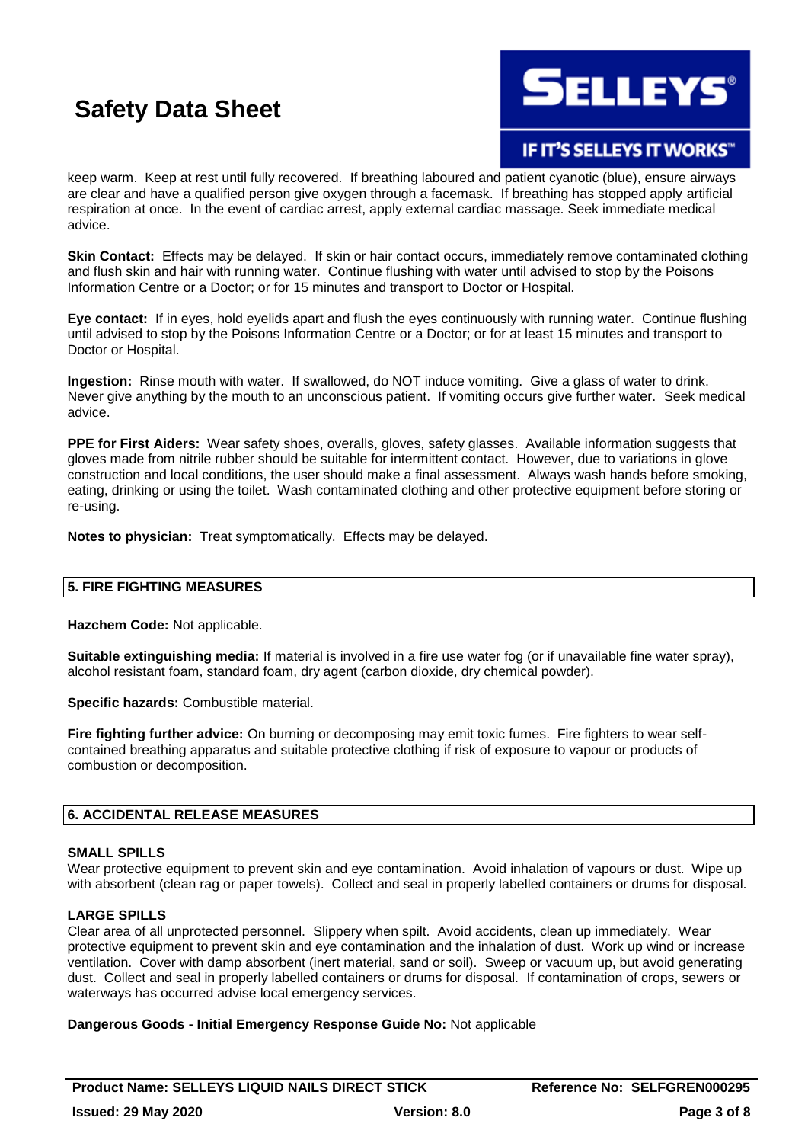**ELLEYS** 

**IF IT'S SELLEYS IT WORKS"** 

keep warm. Keep at rest until fully recovered. If breathing laboured and patient cyanotic (blue), ensure airways are clear and have a qualified person give oxygen through a facemask. If breathing has stopped apply artificial respiration at once. In the event of cardiac arrest, apply external cardiac massage. Seek immediate medical advice.

**Skin Contact:** Effects may be delayed. If skin or hair contact occurs, immediately remove contaminated clothing and flush skin and hair with running water. Continue flushing with water until advised to stop by the Poisons Information Centre or a Doctor; or for 15 minutes and transport to Doctor or Hospital.

**Eye contact:** If in eyes, hold eyelids apart and flush the eyes continuously with running water. Continue flushing until advised to stop by the Poisons Information Centre or a Doctor; or for at least 15 minutes and transport to Doctor or Hospital.

**Ingestion:** Rinse mouth with water. If swallowed, do NOT induce vomiting. Give a glass of water to drink. Never give anything by the mouth to an unconscious patient. If vomiting occurs give further water. Seek medical advice.

**PPE for First Aiders:** Wear safety shoes, overalls, gloves, safety glasses. Available information suggests that gloves made from nitrile rubber should be suitable for intermittent contact. However, due to variations in glove construction and local conditions, the user should make a final assessment. Always wash hands before smoking, eating, drinking or using the toilet. Wash contaminated clothing and other protective equipment before storing or re-using.

**Notes to physician:** Treat symptomatically. Effects may be delayed.

#### **5. FIRE FIGHTING MEASURES**

**Hazchem Code:** Not applicable.

**Suitable extinguishing media:** If material is involved in a fire use water fog (or if unavailable fine water spray), alcohol resistant foam, standard foam, dry agent (carbon dioxide, dry chemical powder).

**Specific hazards:** Combustible material.

**Fire fighting further advice:** On burning or decomposing may emit toxic fumes. Fire fighters to wear selfcontained breathing apparatus and suitable protective clothing if risk of exposure to vapour or products of combustion or decomposition.

#### **6. ACCIDENTAL RELEASE MEASURES**

#### **SMALL SPILLS**

Wear protective equipment to prevent skin and eye contamination. Avoid inhalation of vapours or dust. Wipe up with absorbent (clean rag or paper towels). Collect and seal in properly labelled containers or drums for disposal.

#### **LARGE SPILLS**

Clear area of all unprotected personnel. Slippery when spilt. Avoid accidents, clean up immediately. Wear protective equipment to prevent skin and eye contamination and the inhalation of dust. Work up wind or increase ventilation. Cover with damp absorbent (inert material, sand or soil). Sweep or vacuum up, but avoid generating dust. Collect and seal in properly labelled containers or drums for disposal. If contamination of crops, sewers or waterways has occurred advise local emergency services.

#### **Dangerous Goods - Initial Emergency Response Guide No:** Not applicable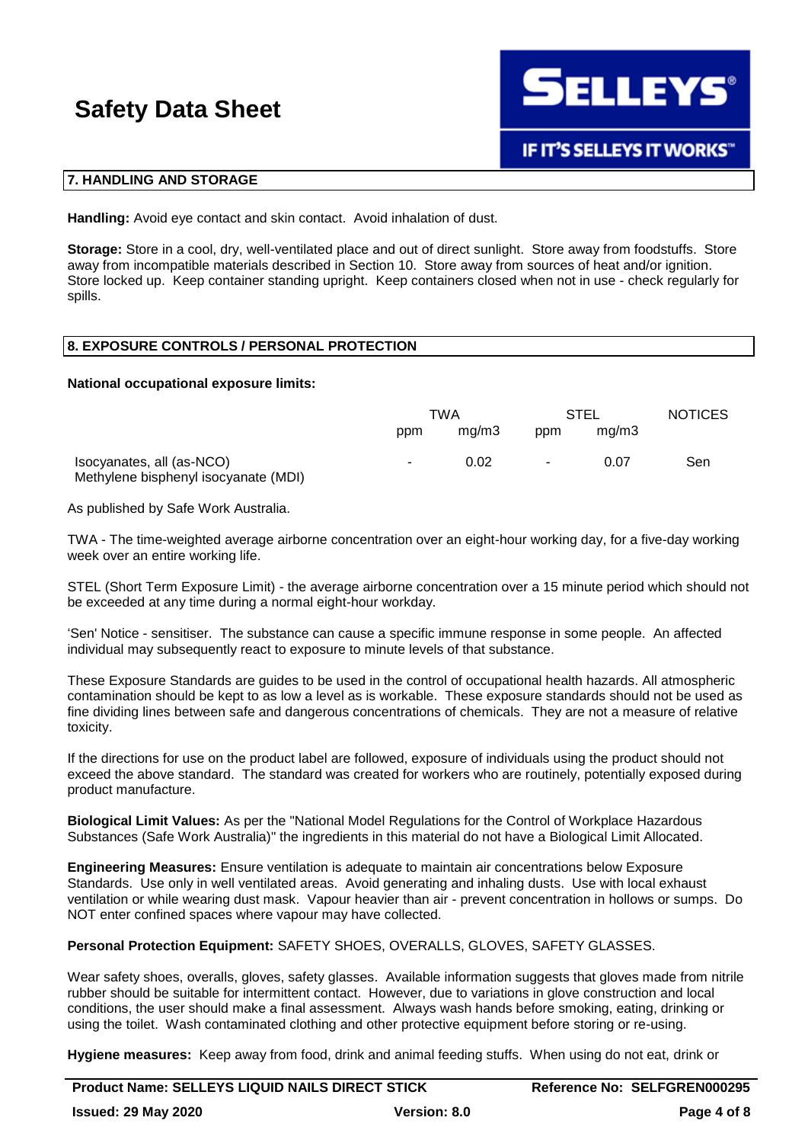

#### **7. HANDLING AND STORAGE**

**Handling:** Avoid eye contact and skin contact. Avoid inhalation of dust.

**Storage:** Store in a cool, dry, well-ventilated place and out of direct sunlight. Store away from foodstuffs. Store away from incompatible materials described in Section 10. Store away from sources of heat and/or ignition. Store locked up. Keep container standing upright. Keep containers closed when not in use - check regularly for spills.

#### **8. EXPOSURE CONTROLS / PERSONAL PROTECTION**

#### **National occupational exposure limits:**

|                                                                   | TWA    |       | STEL   |       | <b>NOTICES</b> |
|-------------------------------------------------------------------|--------|-------|--------|-------|----------------|
|                                                                   | ppm    | ma/m3 | ppm    | ma/m3 |                |
| Isocyanates, all (as-NCO)<br>Methylene bisphenyl isocyanate (MDI) | $\sim$ | 0.02  | $\sim$ | 0.07  | Sen            |

As published by Safe Work Australia.

TWA - The time-weighted average airborne concentration over an eight-hour working day, for a five-day working week over an entire working life.

STEL (Short Term Exposure Limit) - the average airborne concentration over a 15 minute period which should not be exceeded at any time during a normal eight-hour workday.

'Sen' Notice - sensitiser. The substance can cause a specific immune response in some people. An affected individual may subsequently react to exposure to minute levels of that substance.

These Exposure Standards are guides to be used in the control of occupational health hazards. All atmospheric contamination should be kept to as low a level as is workable. These exposure standards should not be used as fine dividing lines between safe and dangerous concentrations of chemicals. They are not a measure of relative toxicity.

If the directions for use on the product label are followed, exposure of individuals using the product should not exceed the above standard. The standard was created for workers who are routinely, potentially exposed during product manufacture.

**Biological Limit Values:** As per the "National Model Regulations for the Control of Workplace Hazardous Substances (Safe Work Australia)" the ingredients in this material do not have a Biological Limit Allocated.

**Engineering Measures:** Ensure ventilation is adequate to maintain air concentrations below Exposure Standards. Use only in well ventilated areas. Avoid generating and inhaling dusts. Use with local exhaust ventilation or while wearing dust mask. Vapour heavier than air - prevent concentration in hollows or sumps. Do NOT enter confined spaces where vapour may have collected.

**Personal Protection Equipment:** SAFETY SHOES, OVERALLS, GLOVES, SAFETY GLASSES.

Wear safety shoes, overalls, gloves, safety glasses. Available information suggests that gloves made from nitrile rubber should be suitable for intermittent contact. However, due to variations in glove construction and local conditions, the user should make a final assessment. Always wash hands before smoking, eating, drinking or using the toilet. Wash contaminated clothing and other protective equipment before storing or re-using.

**Hygiene measures:** Keep away from food, drink and animal feeding stuffs. When using do not eat, drink or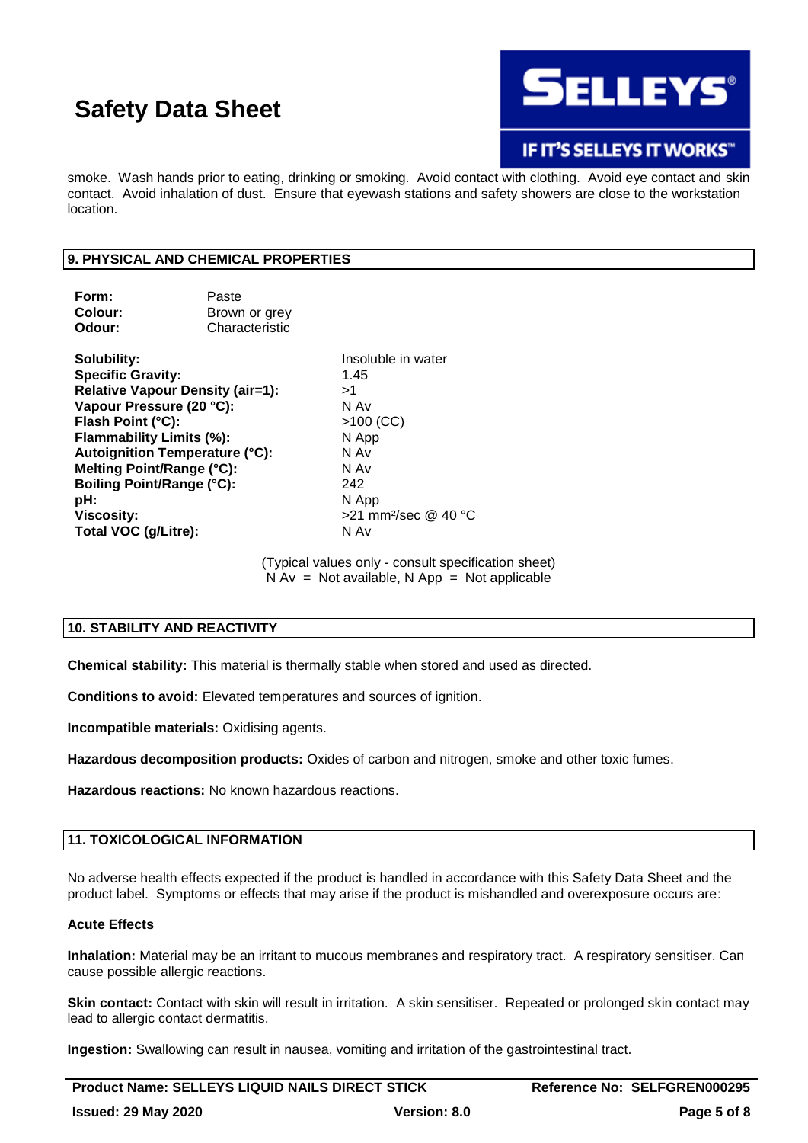

### **IF IT'S SELLEYS IT WORKS"**

smoke. Wash hands prior to eating, drinking or smoking. Avoid contact with clothing. Avoid eye contact and skin contact. Avoid inhalation of dust. Ensure that eyewash stations and safety showers are close to the workstation location.

#### **9. PHYSICAL AND CHEMICAL PROPERTIES**

| Form:<br>Colour:<br>Odour:              | Paste<br>Brown or grey<br>Characteristic |                                  |
|-----------------------------------------|------------------------------------------|----------------------------------|
| Solubility:<br><b>Specific Gravity:</b> |                                          | Insoluble in water<br>1.45       |
|                                         | <b>Relative Vapour Density (air=1):</b>  | >1                               |
| Vapour Pressure (20 °C):                |                                          | N Av                             |
| Flash Point (°C):                       |                                          | $>100$ (CC)                      |
| Flammability Limits (%):                |                                          | N App                            |
| Autoignition Temperature (°C):          |                                          | N Av                             |
| Melting Point/Range (°C):               |                                          | N Av                             |
| <b>Boiling Point/Range (°C):</b>        |                                          | 242                              |
| pH:                                     |                                          | N App                            |
| <b>Viscosity:</b>                       |                                          | >21 mm <sup>2</sup> /sec @ 40 °C |
| Total VOC (g/Litre):                    |                                          | N Av                             |

(Typical values only - consult specification sheet)  $N Av = Not available, N App = Not applicable$ 

#### **10. STABILITY AND REACTIVITY**

**Chemical stability:** This material is thermally stable when stored and used as directed.

**Conditions to avoid:** Elevated temperatures and sources of ignition.

**Incompatible materials:** Oxidising agents.

**Hazardous decomposition products:** Oxides of carbon and nitrogen, smoke and other toxic fumes.

**Hazardous reactions:** No known hazardous reactions.

#### **11. TOXICOLOGICAL INFORMATION**

No adverse health effects expected if the product is handled in accordance with this Safety Data Sheet and the product label. Symptoms or effects that may arise if the product is mishandled and overexposure occurs are:

#### **Acute Effects**

**Inhalation:** Material may be an irritant to mucous membranes and respiratory tract. A respiratory sensitiser. Can cause possible allergic reactions.

**Skin contact:** Contact with skin will result in irritation. A skin sensitiser. Repeated or prolonged skin contact may lead to allergic contact dermatitis.

**Ingestion:** Swallowing can result in nausea, vomiting and irritation of the gastrointestinal tract.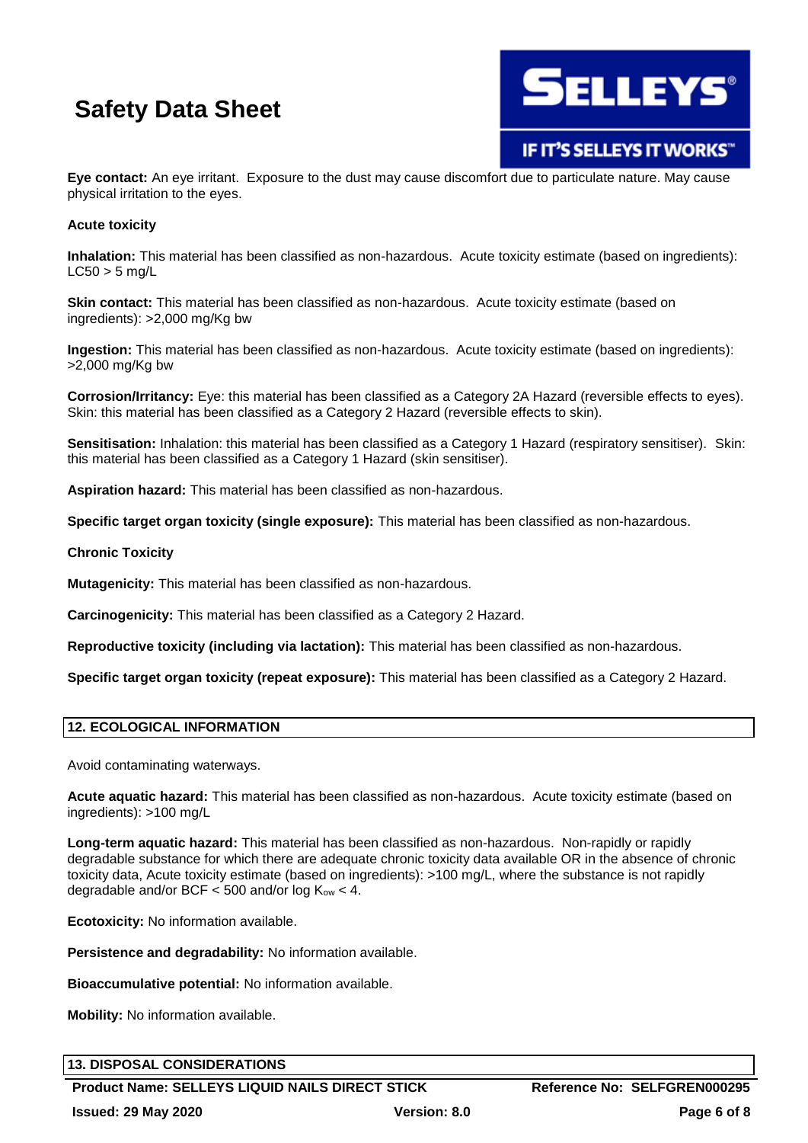

IF IT'S SELLEYS IT WORKS"

**Eye contact:** An eye irritant. Exposure to the dust may cause discomfort due to particulate nature. May cause physical irritation to the eyes.

#### **Acute toxicity**

**Inhalation:** This material has been classified as non-hazardous. Acute toxicity estimate (based on ingredients):  $LC50 > 5$  mg/L

**Skin contact:** This material has been classified as non-hazardous. Acute toxicity estimate (based on ingredients): >2,000 mg/Kg bw

**Ingestion:** This material has been classified as non-hazardous. Acute toxicity estimate (based on ingredients): >2,000 mg/Kg bw

**Corrosion/Irritancy:** Eye: this material has been classified as a Category 2A Hazard (reversible effects to eyes). Skin: this material has been classified as a Category 2 Hazard (reversible effects to skin).

**Sensitisation:** Inhalation: this material has been classified as a Category 1 Hazard (respiratory sensitiser). Skin: this material has been classified as a Category 1 Hazard (skin sensitiser).

**Aspiration hazard:** This material has been classified as non-hazardous.

**Specific target organ toxicity (single exposure):** This material has been classified as non-hazardous.

#### **Chronic Toxicity**

**Mutagenicity:** This material has been classified as non-hazardous.

**Carcinogenicity:** This material has been classified as a Category 2 Hazard.

**Reproductive toxicity (including via lactation):** This material has been classified as non-hazardous.

**Specific target organ toxicity (repeat exposure):** This material has been classified as a Category 2 Hazard.

#### **12. ECOLOGICAL INFORMATION**

Avoid contaminating waterways.

**Acute aquatic hazard:** This material has been classified as non-hazardous. Acute toxicity estimate (based on ingredients): >100 mg/L

**Long-term aquatic hazard:** This material has been classified as non-hazardous. Non-rapidly or rapidly degradable substance for which there are adequate chronic toxicity data available OR in the absence of chronic toxicity data, Acute toxicity estimate (based on ingredients): >100 mg/L, where the substance is not rapidly degradable and/or BCF  $<$  500 and/or log K<sub>ow</sub>  $<$  4.

**Ecotoxicity:** No information available.

**Persistence and degradability:** No information available.

**Bioaccumulative potential:** No information available.

**Mobility:** No information available.

#### **13. DISPOSAL CONSIDERATIONS**

**Product Name: SELLEYS LIQUID NAILS DIRECT STICK Reference No: SELFGREN000295**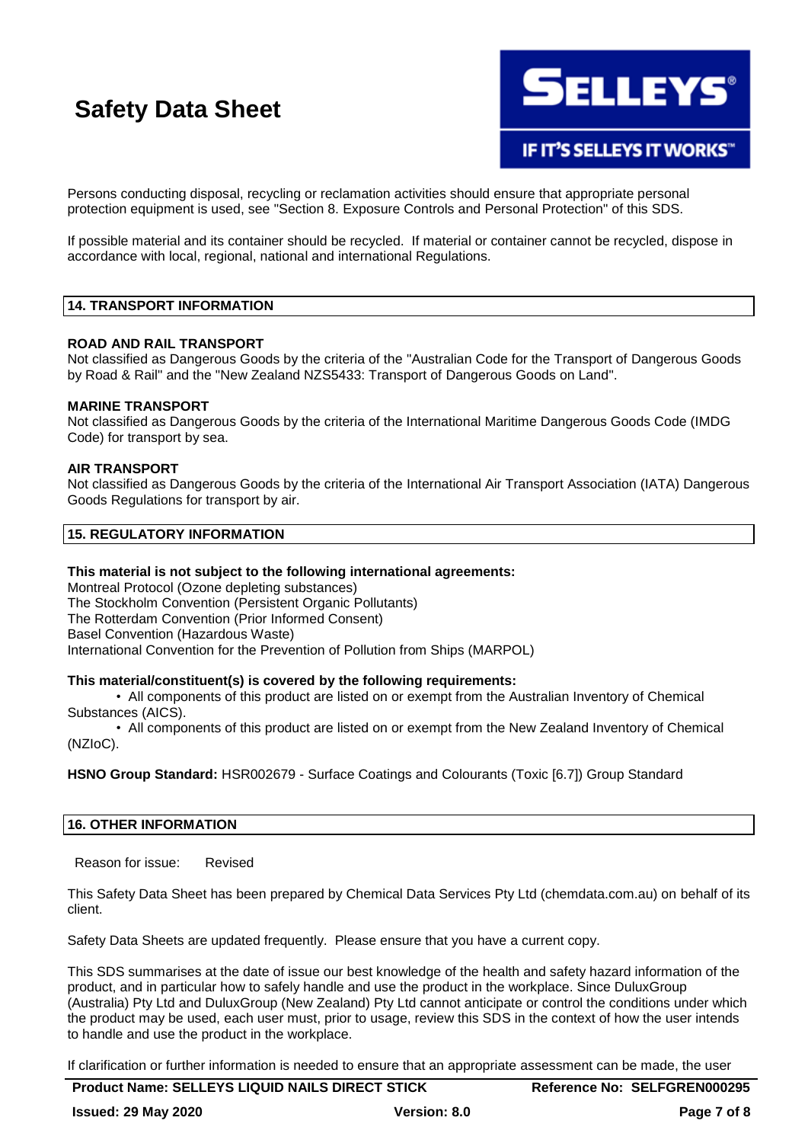

Persons conducting disposal, recycling or reclamation activities should ensure that appropriate personal protection equipment is used, see "Section 8. Exposure Controls and Personal Protection" of this SDS.

If possible material and its container should be recycled. If material or container cannot be recycled, dispose in accordance with local, regional, national and international Regulations.

#### **14. TRANSPORT INFORMATION**

#### **ROAD AND RAIL TRANSPORT**

Not classified as Dangerous Goods by the criteria of the "Australian Code for the Transport of Dangerous Goods by Road & Rail" and the "New Zealand NZS5433: Transport of Dangerous Goods on Land".

#### **MARINE TRANSPORT**

Not classified as Dangerous Goods by the criteria of the International Maritime Dangerous Goods Code (IMDG Code) for transport by sea.

#### **AIR TRANSPORT**

Not classified as Dangerous Goods by the criteria of the International Air Transport Association (IATA) Dangerous Goods Regulations for transport by air.

#### **15. REGULATORY INFORMATION**

#### **This material is not subject to the following international agreements:**

Montreal Protocol (Ozone depleting substances) The Stockholm Convention (Persistent Organic Pollutants) The Rotterdam Convention (Prior Informed Consent) Basel Convention (Hazardous Waste) International Convention for the Prevention of Pollution from Ships (MARPOL)

#### **This material/constituent(s) is covered by the following requirements:**

• All components of this product are listed on or exempt from the Australian Inventory of Chemical Substances (AICS).

• All components of this product are listed on or exempt from the New Zealand Inventory of Chemical (NZIoC).

**HSNO Group Standard:** HSR002679 - Surface Coatings and Colourants (Toxic [6.7]) Group Standard

#### **16. OTHER INFORMATION**

Reason for issue: Revised

This Safety Data Sheet has been prepared by Chemical Data Services Pty Ltd (chemdata.com.au) on behalf of its client.

Safety Data Sheets are updated frequently. Please ensure that you have a current copy.

This SDS summarises at the date of issue our best knowledge of the health and safety hazard information of the product, and in particular how to safely handle and use the product in the workplace. Since DuluxGroup (Australia) Pty Ltd and DuluxGroup (New Zealand) Pty Ltd cannot anticipate or control the conditions under which the product may be used, each user must, prior to usage, review this SDS in the context of how the user intends to handle and use the product in the workplace.

If clarification or further information is needed to ensure that an appropriate assessment can be made, the user